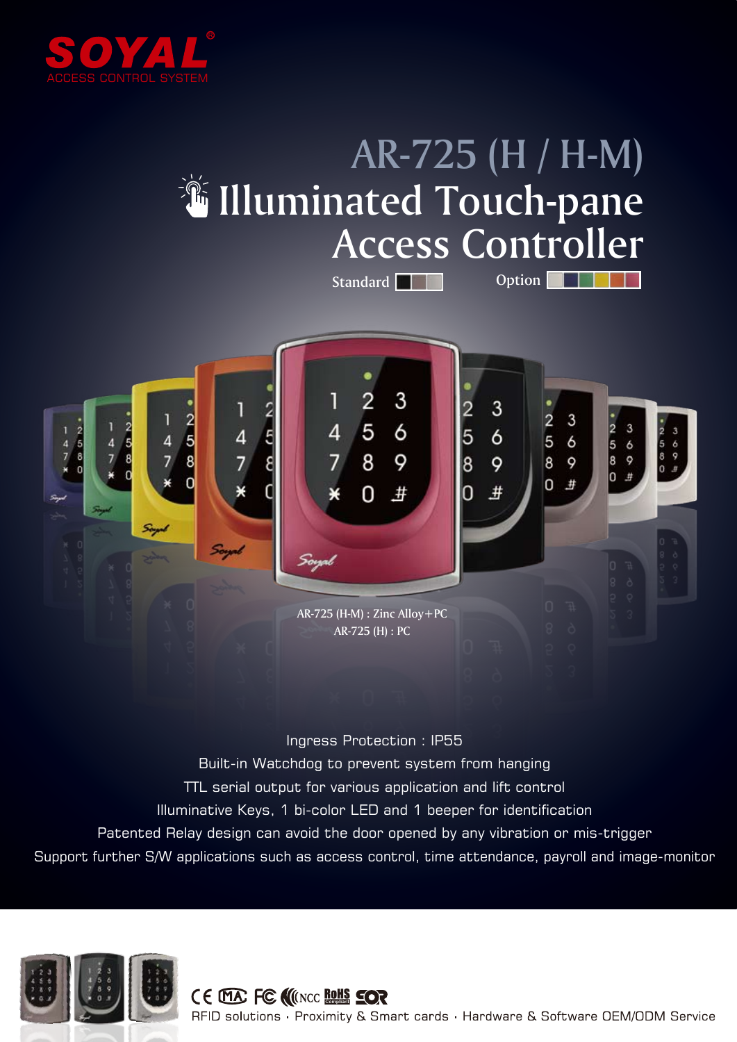

## AR-725 (H / H-M) **Willuminated Touch-pane** Access Controller

Standard **The Option Company** 



## Ingress Protection : IP55

Built-in Watchdog to prevent system from hanging

- TTL serial output for various application and lift control
- Illuminative Keys, 1 bi-color LED and 1 beeper for identification
- Patented Relay design can avoid the door opened by any vibration or mis-trigger
- Support further S/W applications such as access control, time attendance, payroll and image-monitor



## CE MA FC NINCO RONS SOR

RFID solutions · Proximity & Smart cards · Hardware & Software OEM/ODM Service